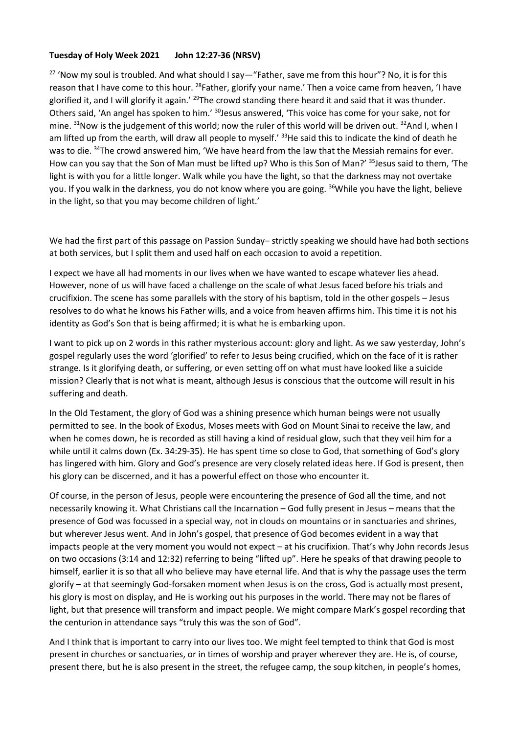## **Tuesday of Holy Week 2021 John 12:27-36 (NRSV)**

<sup>27</sup> 'Now my soul is troubled. And what should I say—"Father, save me from this hour"? No, it is for this reason that I have come to this hour. <sup>28</sup>Father, glorify your name.' Then a voice came from heaven, 'I have glorified it, and I will glorify it again.' <sup>29</sup>The crowd standing there heard it and said that it was thunder. Others said, 'An angel has spoken to him.' <sup>30</sup>Jesus answered, 'This voice has come for your sake, not for mine.  $31$ Now is the judgement of this world; now the ruler of this world will be driven out.  $32$ And I, when I am lifted up from the earth, will draw all people to myself.' <sup>33</sup>He said this to indicate the kind of death he was to die. <sup>34</sup>The crowd answered him, 'We have heard from the law that the Messiah remains for ever. How can you say that the Son of Man must be lifted up? Who is this Son of Man?' <sup>35</sup>Jesus said to them, 'The light is with you for a little longer. Walk while you have the light, so that the darkness may not overtake you. If you walk in the darkness, you do not know where you are going. <sup>36</sup>While you have the light, believe in the light, so that you may become children of light.'

We had the first part of this passage on Passion Sunday– strictly speaking we should have had both sections at both services, but I split them and used half on each occasion to avoid a repetition.

I expect we have all had moments in our lives when we have wanted to escape whatever lies ahead. However, none of us will have faced a challenge on the scale of what Jesus faced before his trials and crucifixion. The scene has some parallels with the story of his baptism, told in the other gospels – Jesus resolves to do what he knows his Father wills, and a voice from heaven affirms him. This time it is not his identity as God's Son that is being affirmed; it is what he is embarking upon.

I want to pick up on 2 words in this rather mysterious account: glory and light. As we saw yesterday, John's gospel regularly uses the word 'glorified' to refer to Jesus being crucified, which on the face of it is rather strange. Is it glorifying death, or suffering, or even setting off on what must have looked like a suicide mission? Clearly that is not what is meant, although Jesus is conscious that the outcome will result in his suffering and death.

In the Old Testament, the glory of God was a shining presence which human beings were not usually permitted to see. In the book of Exodus, Moses meets with God on Mount Sinai to receive the law, and when he comes down, he is recorded as still having a kind of residual glow, such that they veil him for a while until it calms down (Ex. 34:29-35). He has spent time so close to God, that something of God's glory has lingered with him. Glory and God's presence are very closely related ideas here. If God is present, then his glory can be discerned, and it has a powerful effect on those who encounter it.

Of course, in the person of Jesus, people were encountering the presence of God all the time, and not necessarily knowing it. What Christians call the Incarnation – God fully present in Jesus – means that the presence of God was focussed in a special way, not in clouds on mountains or in sanctuaries and shrines, but wherever Jesus went. And in John's gospel, that presence of God becomes evident in a way that impacts people at the very moment you would not expect – at his crucifixion. That's why John records Jesus on two occasions (3:14 and 12:32) referring to being "lifted up". Here he speaks of that drawing people to himself, earlier it is so that all who believe may have eternal life. And that is why the passage uses the term glorify – at that seemingly God-forsaken moment when Jesus is on the cross, God is actually most present, his glory is most on display, and He is working out his purposes in the world. There may not be flares of light, but that presence will transform and impact people. We might compare Mark's gospel recording that the centurion in attendance says "truly this was the son of God".

And I think that is important to carry into our lives too. We might feel tempted to think that God is most present in churches or sanctuaries, or in times of worship and prayer wherever they are. He is, of course, present there, but he is also present in the street, the refugee camp, the soup kitchen, in people's homes,